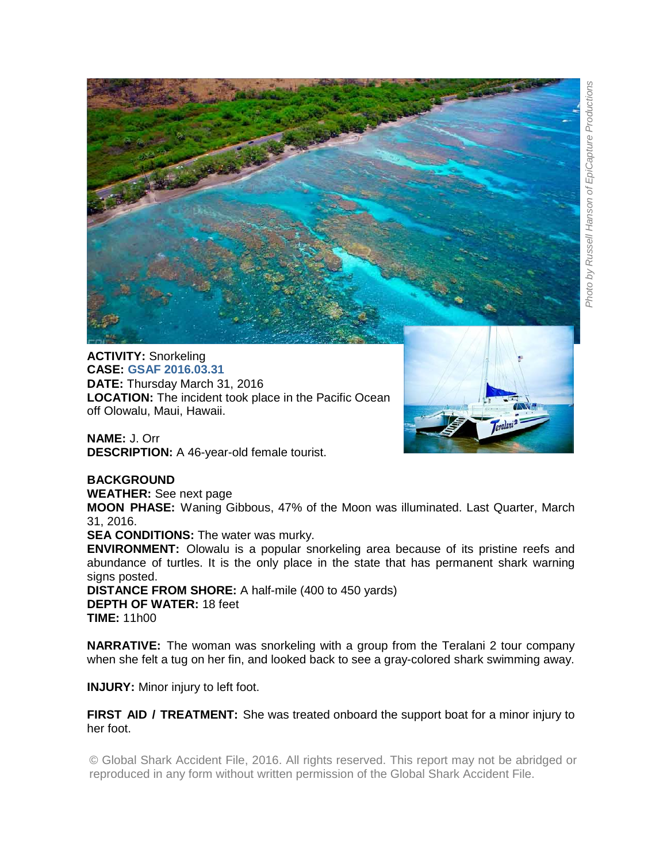

**ACTIVITY:** Snorkeling **CASE: GSAF 2016.03.31 DATE:** Thursday March 31, 2016 **LOCATION:** The incident took place in the Pacific Ocean off Olowalu, Maui, Hawaii.

**NAME:** J. Orr **DESCRIPTION:** A 46-year-old female tourist.

## **BACKGROUND**

**WEATHER:** See next page

**MOON PHASE:** Waning Gibbous, 47% of the Moon was illuminated. Last Quarter, March 31, 2016.

**SEA CONDITIONS:** The water was murky.

**ENVIRONMENT:** Olowalu is a popular snorkeling area because of its pristine reefs and abundance of turtles. It is the only place in the state that has permanent shark warning signs posted.

**DISTANCE FROM SHORE:** A half-mile (400 to 450 yards) **DEPTH OF WATER:** 18 feet **TIME:** 11h00

**NARRATIVE:** The woman was snorkeling with a group from the Teralani 2 tour company when she felt a tug on her fin, and looked back to see a gray-colored shark swimming away.

**INJURY:** Minor injury to left foot.

**FIRST AID / TREATMENT:** She was treated onboard the support boat for a minor injury to her foot.

© Global Shark Accident File, 2016. All rights reserved. This report may not be abridged or reproduced in any form without written permission of the Global Shark Accident File.